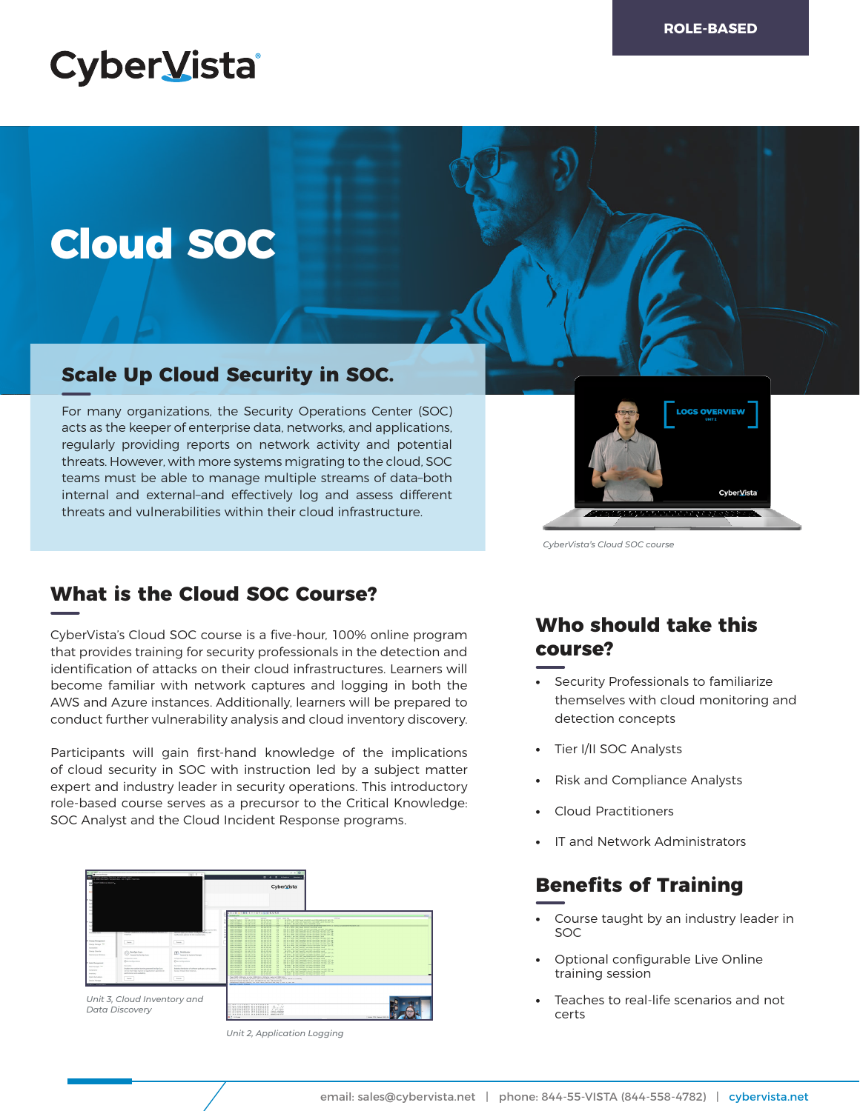## **CyberVista**

# **Cloud SOC**

## **Scale Up Cloud Security in SOC.**

For many organizations, the Security Operations Center (SOC) acts as the keeper of enterprise data, networks, and applications, regularly providing reports on network activity and potential threats. However, with more systems migrating to the cloud, SOC teams must be able to manage multiple streams of data–both internal and external–and effectively log and assess different threats and vulnerabilities within their cloud infrastructure.



*CyberVista's Cloud SOC course*

## **What is the Cloud SOC Course?**

CyberVista's Cloud SOC course is a five-hour, 100% online program that provides training for security professionals in the detection and identification of attacks on their cloud infrastructures. Learners will become familiar with network captures and logging in both the AWS and Azure instances. Additionally, learners will be prepared to conduct further vulnerability analysis and cloud inventory discovery.

Participants will gain first-hand knowledge of the implications of cloud security in SOC with instruction led by a subject matter expert and industry leader in security operations. This introductory role-based course serves as a precursor to the Critical Knowledge: SOC Analyst and the Cloud Incident Response programs.



*Unit 2, Application Logging*

## **Who should take this course?**

- **•** Security Professionals to familiarize themselves with cloud monitoring and detection concepts
- **•** Tier I/II SOC Analysts
- **•** Risk and Compliance Analysts
- **•** Cloud Practitioners
- **•** IT and Network Administrators

## **Benefits of Training**

- **•** Course taught by an industry leader in SOC
- **•** Optional configurable Live Online training session
- **•** Teaches to real-life scenarios and not certs